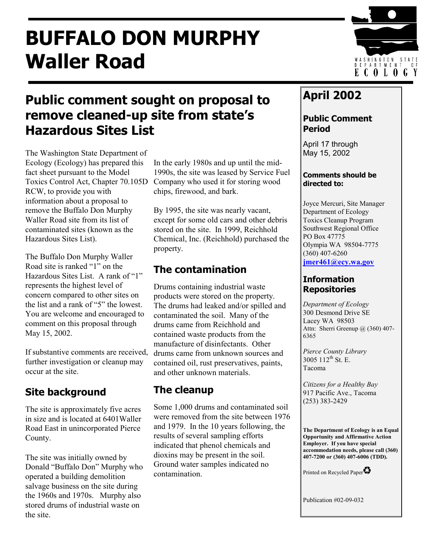# **BUFFALO DON MURPHY Waller Road**



## **Public comment sought on proposal to remove cleaned-up site from state's Hazardous Sites List**

The Washington State Department of Ecology (Ecology) has prepared this fact sheet pursuant to the Model Toxics Control Act, Chapter 70.105D RCW, to provide you with information about a proposal to remove the Buffalo Don Murphy Waller Road site from its list of contaminated sites (known as the Hazardous Sites List).

The Buffalo Don Murphy Waller Road site is ranked "1" on the Hazardous Sites List. A rank of "1" represents the highest level of concern compared to other sites on the list and a rank of "5" the lowest. You are welcome and encouraged to comment on this proposal through May 15, 2002.

If substantive comments are received, further investigation or cleanup may occur at the site.

### **Site background The cleanup**

The site is approximately five acres in size and is located at 6401Waller Road East in unincorporated Pierce County.

The site was initially owned by Donald "Buffalo Don" Murphy who operated a building demolition salvage business on the site during the 1960s and 1970s. Murphy also stored drums of industrial waste on the site.

In the early 1980s and up until the mid-1990s, the site was leased by Service Fuel Company who used it for storing wood chips, firewood, and bark.

By 1995, the site was nearly vacant, except for some old cars and other debris stored on the site. In 1999, Reichhold Chemical, Inc. (Reichhold) purchased the property.

### **The contamination**

Drums containing industrial waste products were stored on the property. The drums had leaked and/or spilled and contaminated the soil. Many of the drums came from Reichhold and contained waste products from the manufacture of disinfectants. Other drums came from unknown sources and contained oil, rust preservatives, paints, and other unknown materials.

Some 1,000 drums and contaminated soil were removed from the site between 1976 and 1979. In the 10 years following, the results of several sampling efforts indicated that phenol chemicals and dioxins may be present in the soil. Ground water samples indicated no contamination.

### **April 2002**

#### **Public Comment Period**

April 17 through May 15, 2002

#### **Comments should be directed to:**

Joyce Mercuri, Site Manager Department of Ecology Toxics Cleanup Program Southwest Regional Office PO Box 47775 Olympia WA 98504-7775 (360) 407-6260

**[jmer461@ecy.wa.gov](mailto:jmer461@ecy.wa.gov)**

#### **Information Repositories**

*Department of Ecology*  300 Desmond Drive SE Lacey WA 98503 Attn: Sherri Greenup @ (360) 407-6365

*Pierce County Library*  3005 112<sup>th</sup> St. E. Tacoma

*Citizens for a Healthy Bay*  917 Pacific Ave., Tacoma (253) 383-2429

**The Department of Ecology is an Equal Opportunity and Affirmative Action Employer. If you have special accommodation needs, please call (360) 407-7200 or (360) 407-6006 (TDD).** 

Printed on Recycled Paper

Publication #02-09-032